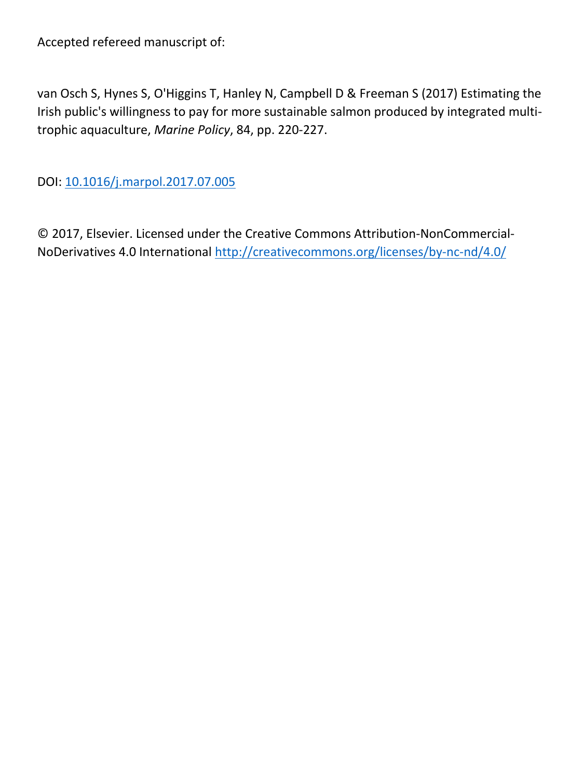Accepted refereed manuscript of:

van Osch S, Hynes S, O'Higgins T, Hanley N, Campbell D & Freeman S (2017) Estimating the Irish public's willingness to pay for more sustainable salmon produced by integrated multitrophic aquaculture, *Marine Policy*, 84, pp. 220-227.

DOI: [10.1016/j.marpol.2017.07.005](http://dx.doi.org/10.1016/j.marpol.2017.07.005)

© 2017, Elsevier. Licensed under the Creative Commons Attribution-NonCommercial-NoDerivatives 4.0 International<http://creativecommons.org/licenses/by-nc-nd/4.0/>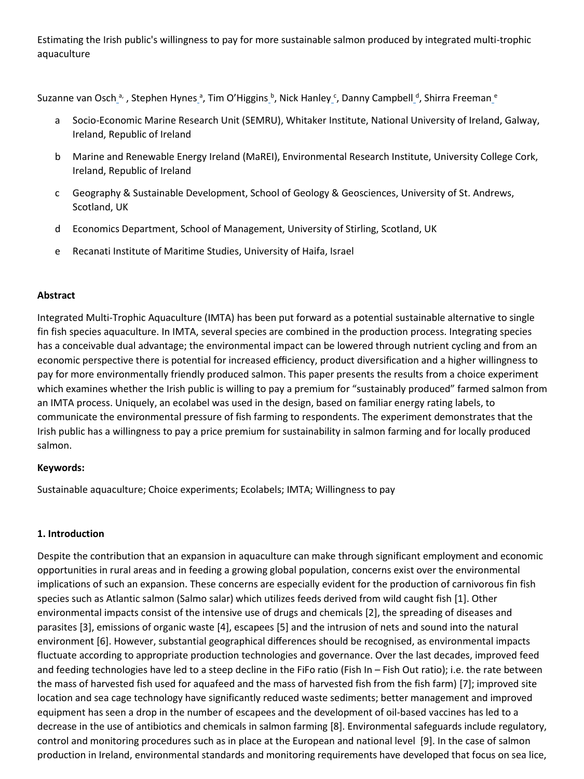Estimating the Irish public's willingness to pay for more sustainable salmon produced by integrated multi-trophic aquaculture

Suzanne van Osch\_ª, , Stephen Hynes\_ª, Tim O'Higgins\_b, Nick Hanley\_c, Danny Campbell\_<sup>d</sup>, Shirra Freeman\_<sup>e</sup>

- a Socio-Economic Marine Research Unit (SEMRU), Whitaker Institute, National University of Ireland, Galway, Ireland, Republic of Ireland
- b Marine and Renewable Energy Ireland (MaREI), Environmental Research Institute, University College Cork, Ireland, Republic of Ireland
- c Geography & Sustainable Development, School of Geology & Geosciences, University of St. Andrews, Scotland, UK
- d Economics Department, School of Management, University of Stirling, Scotland, UK
- e Recanati Institute of Maritime Studies, University of Haifa, Israel

# **Abstract**

Integrated Multi-Trophic Aquaculture (IMTA) has been put forward as a potential sustainable alternative to single fin fish species aquaculture. In IMTA, several species are combined in the production process. Integrating species has a conceivable dual advantage; the environmental impact can be lowered through nutrient cycling and from an economic perspective there is potential for increased efficiency, product diversification and a higher willingness to pay for more environmentally friendly produced salmon. This paper presents the results from a choice experiment which examines whether the Irish public is willing to pay a premium for "sustainably produced" farmed salmon from an IMTA process. Uniquely, an ecolabel was used in the design, based on familiar energy rating labels, to communicate the environmental pressure of fish farming to respondents. The experiment demonstrates that the Irish public has a willingness to pay a price premium for sustainability in salmon farming and for locally produced salmon.

# **Keywords:**

Sustainable aquaculture; Choice experiments; Ecolabels; IMTA; Willingness to pay

# **1. Introduction**

Despite the contribution that an expansion in aquaculture can make through significant employment and economic opportunities in rural areas and in feeding a growing global population, concerns exist over the environmental implications of such an expansion. These concerns are especially evident for the production of carnivorous fin fish species such as Atlantic salmon (Salmo salar) which utilizes feeds derived from wild caught fish [1]. Other environmental impacts consist of the intensive use of drugs and chemicals [2], the spreading of diseases and parasites [3], emissions of organic waste [4], escapees [5] and the intrusion of nets and sound into the natural environment [6]. However, substantial geographical differences should be recognised, as environmental impacts fluctuate according to appropriate production technologies and governance. Over the last decades, improved feed and feeding technologies have led to a steep decline in the FiFo ratio (Fish In – Fish Out ratio); i.e. the rate between the mass of harvested fish used for aquafeed and the mass of harvested fish from the fish farm) [7]; improved site location and sea cage technology have significantly reduced waste sediments; better management and improved equipment has seen a drop in the number of escapees and the development of oil-based vaccines has led to a decrease in the use of antibiotics and chemicals in salmon farming [8]. Environmental safeguards include regulatory, control and monitoring procedures such as in place at the European and national level [9]. In the case of salmon production in Ireland, environmental standards and monitoring requirements have developed that focus on sea lice,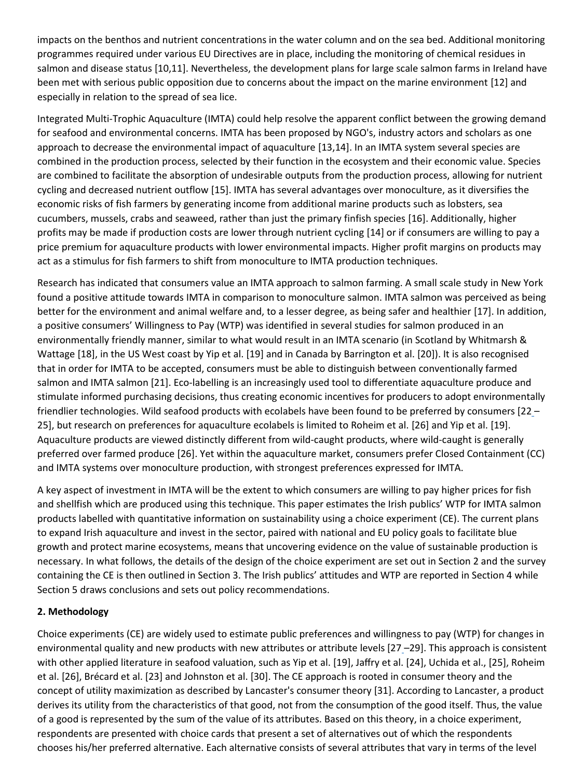impacts on the benthos and nutrient concentrations in the water column and on the sea bed. Additional monitoring programmes required under various EU Directives are in place, including the monitoring of chemical residues in salmon and disease status [10,11]. Nevertheless, the development plans for large scale salmon farms in Ireland have been met with serious public opposition due to concerns about the impact on the marine environment [12] and especially in relation to the spread of sea lice.

Integrated Multi-Trophic Aquaculture (IMTA) could help resolve the apparent conflict between the growing demand for seafood and environmental concerns. IMTA has been proposed by NGO's, industry actors and scholars as one approach to decrease the environmental impact of aquaculture [13,14]. In an IMTA system several species are combined in the production process, selected by their function in the ecosystem and their economic value. Species are combined to facilitate the absorption of undesirable outputs from the production process, allowing for nutrient cycling and decreased nutrient outflow [15]. IMTA has several advantages over monoculture, as it diversifies the economic risks of fish farmers by generating income from additional marine products such as lobsters, sea cucumbers, mussels, crabs and seaweed, rather than just the primary finfish species [16]. Additionally, higher profits may be made if production costs are lower through nutrient cycling [14] or if consumers are willing to pay a price premium for aquaculture products with lower environmental impacts. Higher profit margins on products may act as a stimulus for fish farmers to shift from monoculture to IMTA production techniques.

Research has indicated that consumers value an IMTA approach to salmon farming. A small scale study in New York found a positive attitude towards IMTA in comparison to monoculture salmon. IMTA salmon was perceived as being better for the environment and animal welfare and, to a lesser degree, as being safer and healthier [17]. In addition, a positive consumers' Willingness to Pay (WTP) was identified in several studies for salmon produced in an environmentally friendly manner, similar to what would result in an IMTA scenario (in Scotland by Whitmarsh & Wattage [18], in the US West coast by Yip et al. [19] and in Canada by Barrington et al. [20]). It is also recognised that in order for IMTA to be accepted, consumers must be able to distinguish between conventionally farmed salmon and IMTA salmon [21]. Eco-labelling is an increasingly used tool to differentiate aquaculture produce and stimulate informed purchasing decisions, thus creating economic incentives for producers to adopt environmentally friendlier technologies. Wild seafood products with ecolabels have been found to be preferred by consumers [22 – 25], but research on preferences for aquaculture ecolabels is limited to Roheim et al. [26] and Yip et al. [19]. Aquaculture products are viewed distinctly different from wild-caught products, where wild-caught is generally preferred over farmed produce [26]. Yet within the aquaculture market, consumers prefer Closed Containment (CC) and IMTA systems over monoculture production, with strongest preferences expressed for IMTA.

A key aspect of investment in IMTA will be the extent to which consumers are willing to pay higher prices for fish and shellfish which are produced using this technique. This paper estimates the Irish publics' WTP for IMTA salmon products labelled with quantitative information on sustainability using a choice experiment (CE). The current plans to expand Irish aquaculture and invest in the sector, paired with national and EU policy goals to facilitate blue growth and protect marine ecosystems, means that uncovering evidence on the value of sustainable production is necessary. In what follows, the details of the design of the choice experiment are set out in Section 2 and the survey containing the CE is then outlined in Section 3. The Irish publics' attitudes and WTP are reported in Section 4 while Section 5 draws conclusions and sets out policy recommendations.

# **2. Methodology**

Choice experiments (CE) are widely used to estimate public preferences and willingness to pay (WTP) for changes in environmental quality and new products with new attributes or attribute levels [27 –29]. This approach is consistent with other applied literature in seafood valuation, such as Yip et al. [19], Jaffry et al. [24], Uchida et al., [25], Roheim et al. [26], Brécard et al. [23] and Johnston et al. [30]. The CE approach is rooted in consumer theory and the concept of utility maximization as described by Lancaster's consumer theory [31]. According to Lancaster, a product derives its utility from the characteristics of that good, not from the consumption of the good itself. Thus, the value of a good is represented by the sum of the value of its attributes. Based on this theory, in a choice experiment, respondents are presented with choice cards that present a set of alternatives out of which the respondents chooses his/her preferred alternative. Each alternative consists of several attributes that vary in terms of the level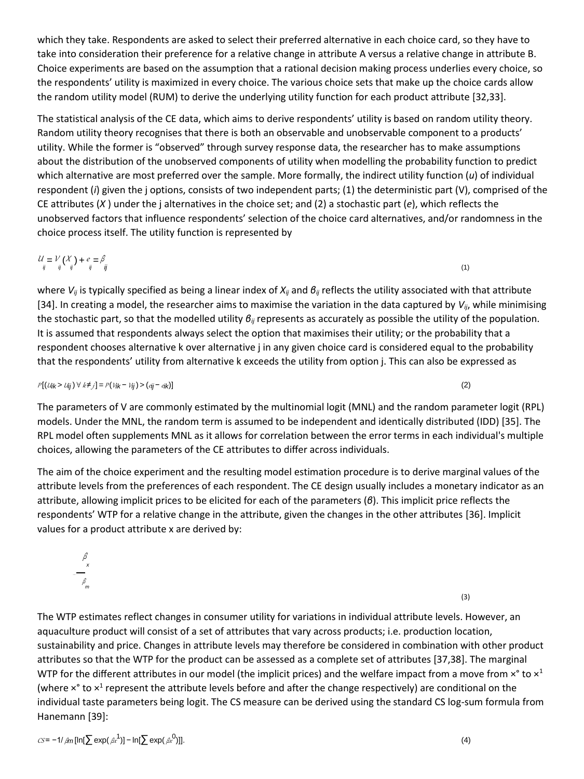which they take. Respondents are asked to select their preferred alternative in each choice card, so they have to take into consideration their preference for a relative change in attribute A versus a relative change in attribute B. Choice experiments are based on the assumption that a rational decision making process underlies every choice, so the respondents' utility is maximized in every choice. The various choice sets that make up the choice cards allow the random utility model (RUM) to derive the underlying utility function for each product attribute [32,33].

The statistical analysis of the CE data, which aims to derive respondents' utility is based on random utility theory. Random utility theory recognises that there is both an observable and unobservable component to a products' utility. While the former is "observed" through survey response data, the researcher has to make assumptions about the distribution of the unobserved components of utility when modelling the probability function to predict which alternative are most preferred over the sample. More formally, the indirect utility function (*u*) of individual respondent (*i*) given the j options, consists of two independent parts; (1) the deterministic part (V), comprised of the CE attributes (*X* ) under the j alternatives in the choice set; and (2) a stochastic part (*e*), which reflects the unobserved factors that influence respondents' selection of the choice card alternatives, and/or randomness in the choice process itself. The utility function is represented by

$$
\mathcal{U}_{ij} = \mathcal{V}_{ij}(\mathcal{X}_j) + e_{ij} = \beta_{ij}
$$
\n<sup>(1)</sup>

where *Vij* is typically specified as being a linear index of *Xij* and *βij* reflects the utility associated with that attribute [34]. In creating a model, the researcher aims to maximise the variation in the data captured by *Vij*, while minimising the stochastic part, so that the modelled utility *βij* represents as accurately as possible the utility of the population. It is assumed that respondents always select the option that maximises their utility; or the probability that a respondent chooses alternative k over alternative j in any given choice card is considered equal to the probability that the respondents' utility from alternative k exceeds the utility from option j. This can also be expressed as

$$
P[(\text{Uik} > \text{Uij}) \forall k \neq j] = P(\text{Vik} - \text{Vij}) > (ej - eik)] \tag{2}
$$

The parameters of V are commonly estimated by the multinomial logit (MNL) and the random parameter logit (RPL) models. Under the MNL, the random term is assumed to be independent and identically distributed (IDD) [35]. The RPL model often supplements MNL as it allows for correlation between the error terms in each individual's multiple choices, allowing the parameters of the CE attributes to differ across individuals.

The aim of the choice experiment and the resulting model estimation procedure is to derive marginal values of the attribute levels from the preferences of each respondent. The CE design usually includes a monetary indicator as an attribute, allowing implicit prices to be elicited for each of the parameters (*β*). This implicit price reflects the respondents' WTP for a relative change in the attribute, given the changes in the other attributes [36]. Implicit values for a product attribute x are derived by:

$$
\frac{\beta}{\beta_m}
$$
 (3)

The WTP estimates reflect changes in consumer utility for variations in individual attribute levels. However, an aquaculture product will consist of a set of attributes that vary across products; i.e. production location, sustainability and price. Changes in attribute levels may therefore be considered in combination with other product attributes so that the WTP for the product can be assessed as a complete set of attributes [37,38]. The marginal WTP for the different attributes in our model (the implicit prices) and the welfare impact from a move from  $x^{\circ}$  to  $x^1$ (where  $\times$ ° to  $\times$ <sup>1</sup> represent the attribute levels before and after the change respectively) are conditional on the individual taste parameters being logit. The CS measure can be derived using the standard CS log-sum formula from Hanemann [39]:

$$
CS = -1/\beta m [\ln[\sum \exp(\beta x^1)] - \ln[\sum \exp(\beta x^0)]].
$$
\n(4)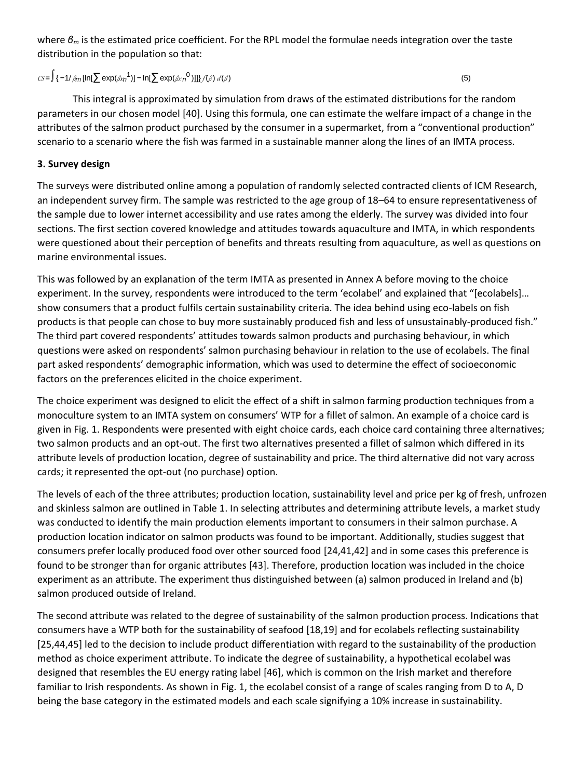where *β<sup>m</sup>* is the estimated price coefficient. For the RPL model the formulae needs integration over the taste distribution in the population so that:

# $CS = \int \{-1/\beta m [\ln[\sum \exp(\beta x n^1)] - \ln[\sum \exp(\beta x n^0)]]\} f(\beta) d(\beta)$  (5)

This integral is approximated by simulation from draws of the estimated distributions for the random parameters in our chosen model [40]. Using this formula, one can estimate the welfare impact of a change in the attributes of the salmon product purchased by the consumer in a supermarket, from a "conventional production" scenario to a scenario where the fish was farmed in a sustainable manner along the lines of an IMTA process.

# **3. Survey design**

The surveys were distributed online among a population of randomly selected contracted clients of ICM Research, an independent survey firm. The sample was restricted to the age group of 18–64 to ensure representativeness of the sample due to lower internet accessibility and use rates among the elderly. The survey was divided into four sections. The first section covered knowledge and attitudes towards aquaculture and IMTA, in which respondents were questioned about their perception of benefits and threats resulting from aquaculture, as well as questions on marine environmental issues.

This was followed by an explanation of the term IMTA as presented in Annex A before moving to the choice experiment. In the survey, respondents were introduced to the term 'ecolabel' and explained that "[ecolabels]… show consumers that a product fulfils certain sustainability criteria. The idea behind using eco-labels on fish products is that people can chose to buy more sustainably produced fish and less of unsustainably-produced fish." The third part covered respondents' attitudes towards salmon products and purchasing behaviour, in which questions were asked on respondents' salmon purchasing behaviour in relation to the use of ecolabels. The final part asked respondents' demographic information, which was used to determine the effect of socioeconomic factors on the preferences elicited in the choice experiment.

The choice experiment was designed to elicit the effect of a shift in salmon farming production techniques from a monoculture system to an IMTA system on consumers' WTP for a fillet of salmon. An example of a choice card is given in Fig. 1. Respondents were presented with eight choice cards, each choice card containing three alternatives; two salmon products and an opt-out. The first two alternatives presented a fillet of salmon which differed in its attribute levels of production location, degree of sustainability and price. The third alternative did not vary across cards; it represented the opt-out (no purchase) option.

The levels of each of the three attributes; production location, sustainability level and price per kg of fresh, unfrozen and skinless salmon are outlined in Table 1. In selecting attributes and determining attribute levels, a market study was conducted to identify the main production elements important to consumers in their salmon purchase. A production location indicator on salmon products was found to be important. Additionally, studies suggest that consumers prefer locally produced food over other sourced food [24,41,42] and in some cases this preference is found to be stronger than for organic attributes [43]. Therefore, production location was included in the choice experiment as an attribute. The experiment thus distinguished between (a) salmon produced in Ireland and (b) salmon produced outside of Ireland.

The second attribute was related to the degree of sustainability of the salmon production process. Indications that consumers have a WTP both for the sustainability of seafood [18,19] and for ecolabels reflecting sustainability [25,44,45] led to the decision to include product differentiation with regard to the sustainability of the production method as choice experiment attribute. To indicate the degree of sustainability, a hypothetical ecolabel was designed that resembles the EU energy rating label [46], which is common on the Irish market and therefore familiar to Irish respondents. As shown in Fig. 1, the ecolabel consist of a range of scales ranging from D to A, D being the base category in the estimated models and each scale signifying a 10% increase in sustainability.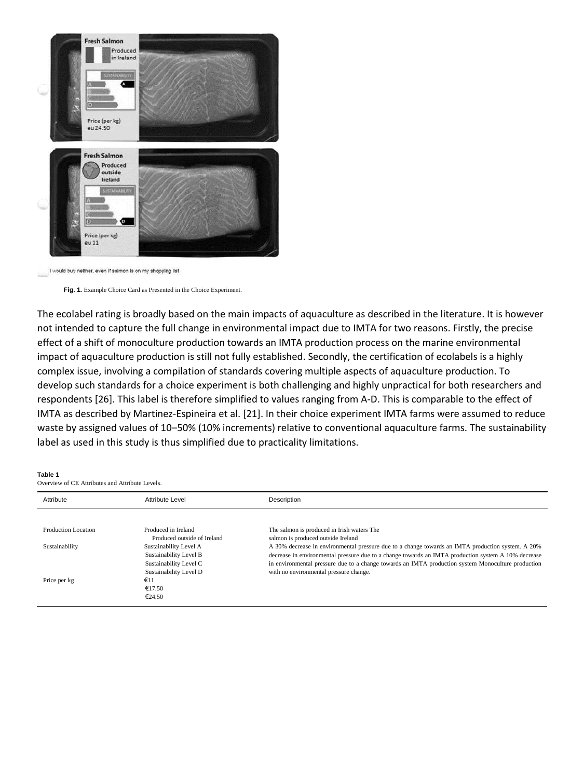



**Fig. 1.** Example Choice Card as Presented in the Choice Experiment.

The ecolabel rating is broadly based on the main impacts of aquaculture as described in the literature. It is however not intended to capture the full change in environmental impact due to IMTA for two reasons. Firstly, the precise effect of a shift of monoculture production towards an IMTA production process on the marine environmental impact of aquaculture production is still not fully established. Secondly, the certification of ecolabels is a highly complex issue, involving a compilation of standards covering multiple aspects of aquaculture production. To develop such standards for a choice experiment is both challenging and highly unpractical for both researchers and respondents [26]. This label is therefore simplified to values ranging from A-D. This is comparable to the effect of IMTA as described by Martinez-Espineira et al. [21]. In their choice experiment IMTA farms were assumed to reduce waste by assigned values of 10–50% (10% increments) relative to conventional aquaculture farms. The sustainability label as used in this study is thus simplified due to practicality limitations.

#### **Table 1**

Overview of CE Attributes and Attribute Levels.

| Attribute           | Attribute Level             | Description                                                                                         |
|---------------------|-----------------------------|-----------------------------------------------------------------------------------------------------|
|                     |                             |                                                                                                     |
| Production Location | Produced in Ireland         | The salmon is produced in Irish waters The                                                          |
|                     | Produced outside of Ireland | salmon is produced outside Ireland                                                                  |
| Sustainability      | Sustainability Level A      | A 30% decrease in environmental pressure due to a change towards an IMTA production system. A 20%   |
|                     | Sustainability Level B      | decrease in environmental pressure due to a change towards an IMTA production system A 10% decrease |
|                     | Sustainability Level C      | in environmental pressure due to a change towards an IMTA production system Monoculture production  |
|                     | Sustainability Level D      | with no environmental pressure change.                                                              |
| Price per kg        | $\epsilon$ 11               |                                                                                                     |
|                     | €17.50                      |                                                                                                     |
|                     | $\epsilon$ 24.50            |                                                                                                     |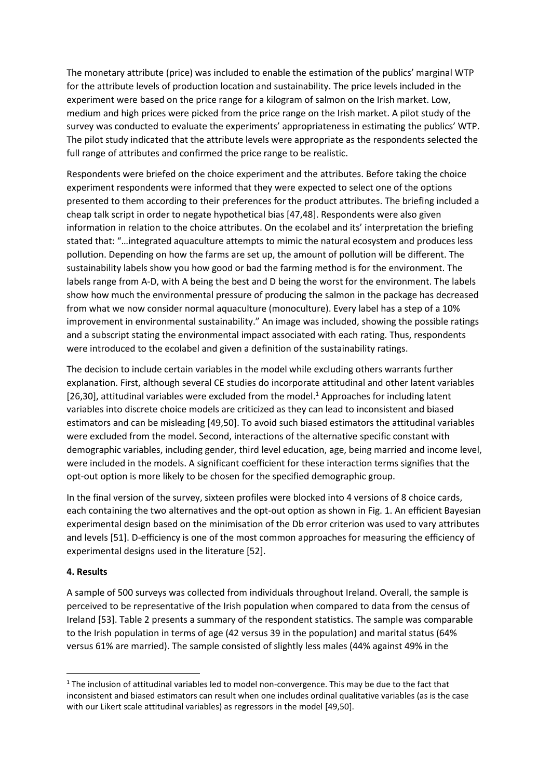The monetary attribute (price) was included to enable the estimation of the publics' marginal WTP for the attribute levels of production location and sustainability. The price levels included in the experiment were based on the price range for a kilogram of salmon on the Irish market. Low, medium and high prices were picked from the price range on the Irish market. A pilot study of the survey was conducted to evaluate the experiments' appropriateness in estimating the publics' WTP. The pilot study indicated that the attribute levels were appropriate as the respondents selected the full range of attributes and confirmed the price range to be realistic.

Respondents were briefed on the choice experiment and the attributes. Before taking the choice experiment respondents were informed that they were expected to select one of the options presented to them according to their preferences for the product attributes. The briefing included a cheap talk script in order to negate hypothetical bias [47,48]. Respondents were also given information in relation to the choice attributes. On the ecolabel and its' interpretation the briefing stated that: "…integrated aquaculture attempts to mimic the natural ecosystem and produces less pollution. Depending on how the farms are set up, the amount of pollution will be different. The sustainability labels show you how good or bad the farming method is for the environment. The labels range from A-D, with A being the best and D being the worst for the environment. The labels show how much the environmental pressure of producing the salmon in the package has decreased from what we now consider normal aquaculture (monoculture). Every label has a step of a 10% improvement in environmental sustainability." An image was included, showing the possible ratings and a subscript stating the environmental impact associated with each rating. Thus, respondents were introduced to the ecolabel and given a definition of the sustainability ratings.

The decision to include certain variables in the model while excluding others warrants further explanation. First, although several CE studies do incorporate attitudinal and other latent variables [26,30], attitudinal variables were excluded from the model.<sup>1</sup> Approaches for including latent variables into discrete choice models are criticized as they can lead to inconsistent and biased estimators and can be misleading [49,50]. To avoid such biased estimators the attitudinal variables were excluded from the model. Second, interactions of the alternative specific constant with demographic variables, including gender, third level education, age, being married and income level, were included in the models. A significant coefficient for these interaction terms signifies that the opt-out option is more likely to be chosen for the specified demographic group.

In the final version of the survey, sixteen profiles were blocked into 4 versions of 8 choice cards, each containing the two alternatives and the opt-out option as shown in Fig. 1. An efficient Bayesian experimental design based on the minimisation of the Db error criterion was used to vary attributes and levels [51]. D-efficiency is one of the most common approaches for measuring the efficiency of experimental designs used in the literature [52].

# **4. Results**

**.** 

A sample of 500 surveys was collected from individuals throughout Ireland. Overall, the sample is perceived to be representative of the Irish population when compared to data from the census of Ireland [53]. Table 2 presents a summary of the respondent statistics. The sample was comparable to the Irish population in terms of age (42 versus 39 in the population) and marital status (64% versus 61% are married). The sample consisted of slightly less males (44% against 49% in the

<sup>&</sup>lt;sup>1</sup> The inclusion of attitudinal variables led to model non-convergence. This may be due to the fact that inconsistent and biased estimators can result when one includes ordinal qualitative variables (as is the case with our Likert scale attitudinal variables) as regressors in the model [49,50].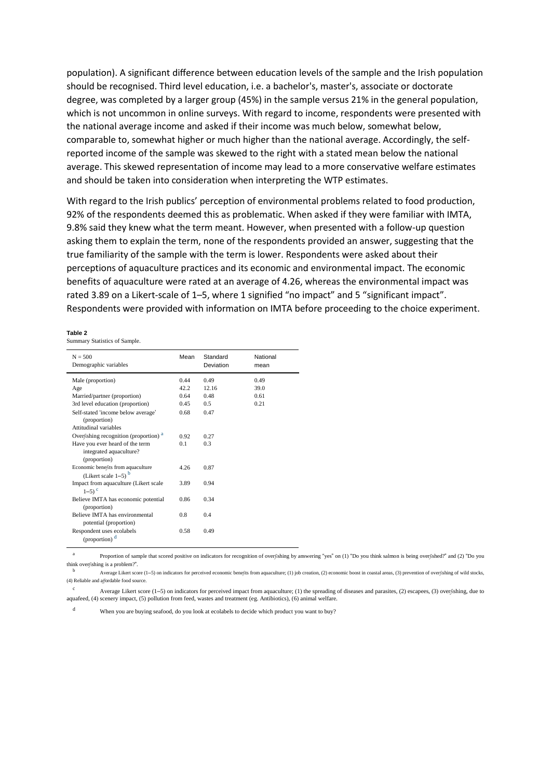population). A significant difference between education levels of the sample and the Irish population should be recognised. Third level education, i.e. a bachelor's, master's, associate or doctorate degree, was completed by a larger group (45%) in the sample versus 21% in the general population, which is not uncommon in online surveys. With regard to income, respondents were presented with the national average income and asked if their income was much below, somewhat below, comparable to, somewhat higher or much higher than the national average. Accordingly, the selfreported income of the sample was skewed to the right with a stated mean below the national average. This skewed representation of income may lead to a more conservative welfare estimates and should be taken into consideration when interpreting the WTP estimates.

With regard to the Irish publics' perception of environmental problems related to food production, 92% of the respondents deemed this as problematic. When asked if they were familiar with IMTA, 9.8% said they knew what the term meant. However, when presented with a follow-up question asking them to explain the term, none of the respondents provided an answer, suggesting that the true familiarity of the sample with the term is lower. Respondents were asked about their perceptions of aquaculture practices and its economic and environmental impact. The economic benefits of aquaculture were rated at an average of 4.26, whereas the environmental impact was rated 3.89 on a Likert-scale of 1–5, where 1 signified "no impact" and 5 "significant impact". Respondents were provided with information on IMTA before proceeding to the choice experiment.

#### **Table 2**

Summary Statistics of Sample.

| $N = 500$<br>Demographic variables                                         | Mean | Standard<br>Deviation | National<br>mean |
|----------------------------------------------------------------------------|------|-----------------------|------------------|
| Male (proportion)                                                          | 0.44 | 0.49                  | 0.49             |
| Age                                                                        | 42.2 | 12.16                 | 39.0             |
| Married/partner (proportion)                                               | 0.64 | 0.48                  | 0.61             |
| 3rd level education (proportion)                                           | 0.45 | 0.5                   | 0.21             |
| Self-stated 'income below average'<br>(proportion)                         | 0.68 | 0.47                  |                  |
| Attitudinal variables                                                      |      |                       |                  |
| Overfishing recognition (proportion) <sup>a</sup>                          | 0.92 | 0.27                  |                  |
| Have you ever heard of the term<br>integrated aquaculture?<br>(proportion) | 0.1  | 0.3                   |                  |
| Economic benefits from aquaculture<br>(Likert scale $1-5$ ) $b$            | 4.26 | 0.87                  |                  |
| Impact from aquaculture (Likert scale<br>$1-5$ <sup>c</sup>                | 3.89 | 0.94                  |                  |
| Believe IMTA has economic potential<br>(proportion)                        | 0.86 | 0.34                  |                  |
| Believe IMTA has environmental<br>potential (proportion)                   | 0.8  | 0.4                   |                  |
| Respondent uses ecolabels<br>(proportion) <sup>d</sup>                     | 0.58 | 0.49                  |                  |

a Proportion of sample that scored positive on indicators for recognition of overfishing by answering "yes" on (1) "Do you think salmon is being overfished?" and (2) "Do you think overfishing is a problem?".

<sup>b</sup> Average Likert score (1–5) on indicators for perceived economic benefits from aquaculture; (1) job creation, (2) economic boost in coastal areas, (3) prevention of overfishing of wild stocks, (4) Reliable and affordable food source.

<sup>c</sup> Average Likert score (1–5) on indicators for perceived impact from aquaculture; (1) the spreading of diseases and parasites, (2) escapees, (3) overfishing, due to aquafeed, (4) scenery impact, (5) pollution from feed, wastes and treatment (eg. Antibiotics), (6) animal welfare.

<sup>d</sup> When you are buying seafood, do you look at ecolabels to decide which product you want to buy?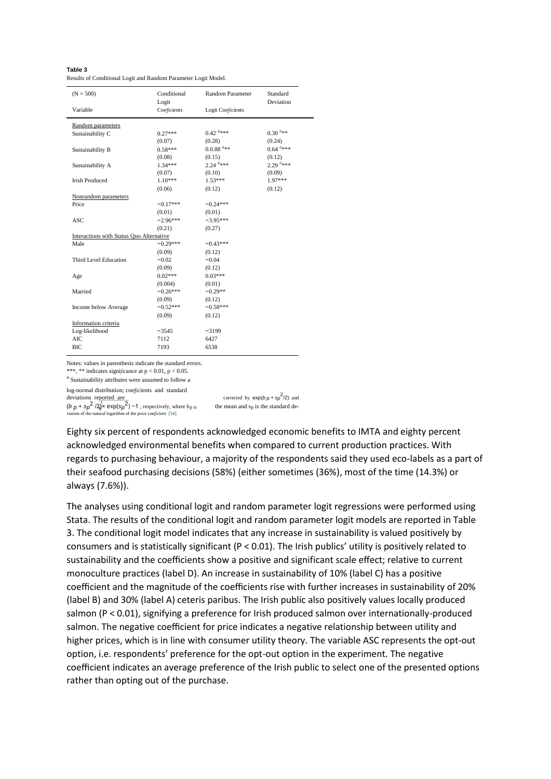| Table 3                                                        |  |
|----------------------------------------------------------------|--|
| Results of Conditional Logit and Random Parameter Logit Model. |  |

| $(N = 500)$                              | Conditional<br>Logit | Random Parameter        | Standard<br>Deviation  |
|------------------------------------------|----------------------|-------------------------|------------------------|
| Variable                                 | Coefficients         | Logit Coefficients      |                        |
| Random parameters                        |                      |                         |                        |
| Sustainability C                         | $0.27***$            | $0.42$ <sup>a***</sup>  | $0.30^{a_{**}}$        |
|                                          | (0.07)               | (0.28)                  | (0.24)                 |
| Sustainability B                         | $0.58***$            | $0.0.88$ <sup>a**</sup> | $0.64$ <sup>a***</sup> |
|                                          | (0.08)               | (0.15)                  | (0.12)                 |
| Sustainability A                         | $1.34***$            | $2.24$ <sup>a***</sup>  | $2.29$ <sup>a***</sup> |
|                                          | (0.07)               | (0.10)                  | (0.09)                 |
| <b>Irish Produced</b>                    | $1.10***$            | $1.53***$               | 1.97***                |
|                                          | (0.06)               | (0.12)                  | (0.12)                 |
| Nonrandom parameters                     |                      |                         |                        |
| Price                                    | $-0.17***$           | $-0.24***$              |                        |
|                                          | (0.01)               | (0.01)                  |                        |
| <b>ASC</b>                               | $-2.96***$           | $-3.95***$              |                        |
|                                          | (0.21)               | (0.27)                  |                        |
| Interactions with Status Quo Alternative |                      |                         |                        |
| Male                                     | $-0.29***$           | $-0.43***$              |                        |
|                                          | (0.09)               | (0.12)                  |                        |
| Third Level Education                    | $-0.02$              | $-0.04$                 |                        |
|                                          | (0.09)               | (0.12)                  |                        |
| Age                                      | $0.02***$            | $0.03***$               |                        |
|                                          | (0.004)              | (0.01)                  |                        |
| Married                                  | $-0.26***$           | $-0.29**$               |                        |
|                                          | (0.09)               | (0.12)                  |                        |
| Income below Average                     | $-0.52***$           | $-0.58***$              |                        |
|                                          | (0.09)               | (0.12)                  |                        |
| Information criteria                     |                      |                         |                        |
| Log-likelihood                           | $-3545$              | $-3199$                 |                        |
| AIC.                                     | 7112                 | 6427                    |                        |
| <b>BIC</b>                               | 7193                 | 6538                    |                        |

Notes: values in parenthesis indicate the standard errors. \*\*\*, \*\* indicates significance at  $p < 0.01$ ,  $p < 0.05$ .

a Sustainability attributes were assumed to follow a

log-normal distribution; coefficients and standard

deviations reported are corrected by  $exp(b p + sp p)$ 

 $(b p + sp^2 / 2) \times exp(sp^2)$ n of the natural logarithm of the price coefficient [54].

 $^{2}$ /2) and the mean and  $s_p$  is the standard de-

Eighty six percent of respondents acknowledged economic benefits to IMTA and eighty percent acknowledged environmental benefits when compared to current production practices. With regards to purchasing behaviour, a majority of the respondents said they used eco-labels as a part of their seafood purchasing decisions (58%) (either sometimes (36%), most of the time (14.3%) or always (7.6%)).

The analyses using conditional logit and random parameter logit regressions were performed using Stata. The results of the conditional logit and random parameter logit models are reported in Table 3. The conditional logit model indicates that any increase in sustainability is valued positively by consumers and is statistically significant (P < 0.01). The Irish publics' utility is positively related to sustainability and the coefficients show a positive and significant scale effect; relative to current monoculture practices (label D). An increase in sustainability of 10% (label C) has a positive coefficient and the magnitude of the coefficients rise with further increases in sustainability of 20% (label B) and 30% (label A) ceteris paribus. The Irish public also positively values locally produced salmon (P < 0.01), signifying a preference for Irish produced salmon over internationally-produced salmon. The negative coefficient for price indicates a negative relationship between utility and higher prices, which is in line with consumer utility theory. The variable ASC represents the opt-out option, i.e. respondents' preference for the opt-out option in the experiment. The negative coefficient indicates an average preference of the Irish public to select one of the presented options rather than opting out of the purchase.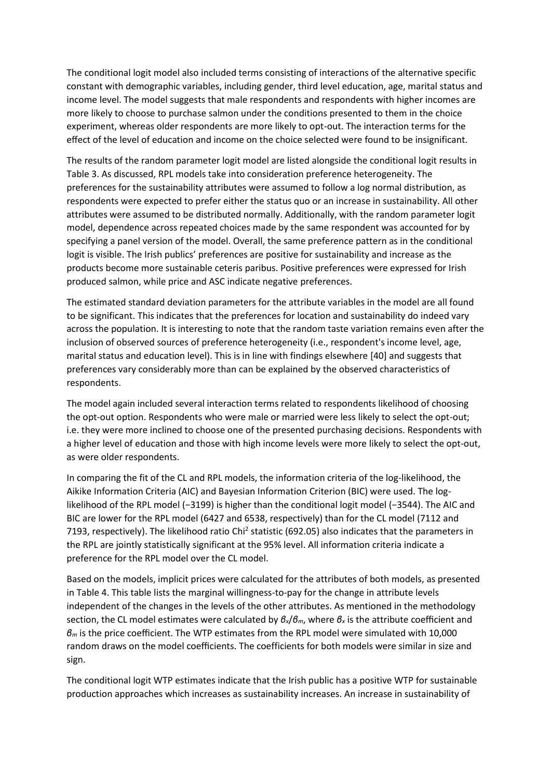The conditional logit model also included terms consisting of interactions of the alternative specific constant with demographic variables, including gender, third level education, age, marital status and income level. The model suggests that male respondents and respondents with higher incomes are more likely to choose to purchase salmon under the conditions presented to them in the choice experiment, whereas older respondents are more likely to opt-out. The interaction terms for the effect of the level of education and income on the choice selected were found to be insignificant.

The results of the random parameter logit model are listed alongside the conditional logit results in Table 3. As discussed, RPL models take into consideration preference heterogeneity. The preferences for the sustainability attributes were assumed to follow a log normal distribution, as respondents were expected to prefer either the status quo or an increase in sustainability. All other attributes were assumed to be distributed normally. Additionally, with the random parameter logit model, dependence across repeated choices made by the same respondent was accounted for by specifying a panel version of the model. Overall, the same preference pattern as in the conditional logit is visible. The Irish publics' preferences are positive for sustainability and increase as the products become more sustainable ceteris paribus. Positive preferences were expressed for Irish produced salmon, while price and ASC indicate negative preferences.

The estimated standard deviation parameters for the attribute variables in the model are all found to be significant. This indicates that the preferences for location and sustainability do indeed vary across the population. It is interesting to note that the random taste variation remains even after the inclusion of observed sources of preference heterogeneity (i.e., respondent's income level, age, marital status and education level). This is in line with findings elsewhere [40] and suggests that preferences vary considerably more than can be explained by the observed characteristics of respondents.

The model again included several interaction terms related to respondents likelihood of choosing the opt-out option. Respondents who were male or married were less likely to select the opt-out; i.e. they were more inclined to choose one of the presented purchasing decisions. Respondents with a higher level of education and those with high income levels were more likely to select the opt-out, as were older respondents.

In comparing the fit of the CL and RPL models, the information criteria of the log-likelihood, the Aikike Information Criteria (AIC) and Bayesian Information Criterion (BIC) were used. The loglikelihood of the RPL model (−3199) is higher than the conditional logit model (−3544). The AIC and BIC are lower for the RPL model (6427 and 6538, respectively) than for the CL model (7112 and 7193, respectively). The likelihood ratio Chi<sup>2</sup> statistic (692.05) also indicates that the parameters in the RPL are jointly statistically significant at the 95% level. All information criteria indicate a preference for the RPL model over the CL model.

Based on the models, implicit prices were calculated for the attributes of both models, as presented in Table 4. This table lists the marginal willingness-to-pay for the change in attribute levels independent of the changes in the levels of the other attributes. As mentioned in the methodology section, the CL model estimates were calculated by *βx*/*βm*, where *β<sup>x</sup>* is the attribute coefficient and *β<sup>m</sup>* is the price coefficient. The WTP estimates from the RPL model were simulated with 10,000 random draws on the model coefficients. The coefficients for both models were similar in size and sign.

The conditional logit WTP estimates indicate that the Irish public has a positive WTP for sustainable production approaches which increases as sustainability increases. An increase in sustainability of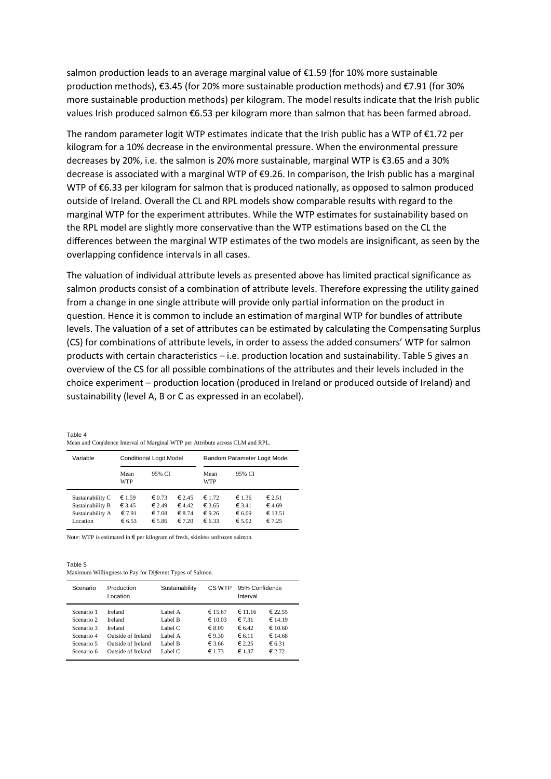salmon production leads to an average marginal value of €1.59 (for 10% more sustainable production methods), €3.45 (for 20% more sustainable production methods) and €7.91 (for 30% more sustainable production methods) per kilogram. The model results indicate that the Irish public values Irish produced salmon €6.53 per kilogram more than salmon that has been farmed abroad.

The random parameter logit WTP estimates indicate that the Irish public has a WTP of  $\epsilon$ 1.72 per kilogram for a 10% decrease in the environmental pressure. When the environmental pressure decreases by 20%, i.e. the salmon is 20% more sustainable, marginal WTP is €3.65 and a 30% decrease is associated with a marginal WTP of €9.26. In comparison, the Irish public has a marginal WTP of €6.33 per kilogram for salmon that is produced nationally, as opposed to salmon produced outside of Ireland. Overall the CL and RPL models show comparable results with regard to the marginal WTP for the experiment attributes. While the WTP estimates for sustainability based on the RPL model are slightly more conservative than the WTP estimations based on the CL the differences between the marginal WTP estimates of the two models are insignificant, as seen by the overlapping confidence intervals in all cases.

The valuation of individual attribute levels as presented above has limited practical significance as salmon products consist of a combination of attribute levels. Therefore expressing the utility gained from a change in one single attribute will provide only partial information on the product in question. Hence it is common to include an estimation of marginal WTP for bundles of attribute levels. The valuation of a set of attributes can be estimated by calculating the Compensating Surplus (CS) for combinations of attribute levels, in order to assess the added consumers' WTP for salmon products with certain characteristics – i.e. production location and sustainability. Table 5 gives an overview of the CS for all possible combinations of the attributes and their levels included in the choice experiment – production location (produced in Ireland or produced outside of Ireland) and sustainability (level A, B or C as expressed in an ecolabel).

Table 4 Mean and Confidence Interval of Marginal WTP per Attribute across CLM and RPL.

| Variable                                                             |                                     | <b>Conditional Logit Model</b>                                  |                                              | Random Parameter Logit Model                  |                                               |                                                |  |
|----------------------------------------------------------------------|-------------------------------------|-----------------------------------------------------------------|----------------------------------------------|-----------------------------------------------|-----------------------------------------------|------------------------------------------------|--|
|                                                                      | Mean<br><b>WTP</b>                  | 95% CI                                                          |                                              | Mean<br><b>WTP</b>                            | 95% CI                                        |                                                |  |
| Sustainability C<br>Sustainability B<br>Sustainability A<br>Location | € 1.59<br>€ 3.45<br>€7.91<br>€ 6.53 | $\epsilon$ 0.73<br>$\epsilon$ 2.49<br>$\epsilon$ 7.08<br>€ 5.86 | $\epsilon$ 2.45<br>64.42<br>€ 8.74<br>€ 7.20 | $\epsilon$ 1.72<br>€ 3.65<br>€ 9.26<br>€ 6.33 | € 1.36<br>€ 3.41<br>€ 6.09<br>$\epsilon$ 5.02 | $\epsilon$ 2.51<br>€ 4.69<br>€ 13.51<br>€ 7.25 |  |

Note: WTP is estimated in € per kilogram of fresh, skinless unfrozen salmon.

Table 5 Maximum Willingness to Pay for Different Types of Salmon.

| Scenario   | Production         | Sustainability |                  | 95% Confidence  |                 |
|------------|--------------------|----------------|------------------|-----------------|-----------------|
|            | Location           | CS WTP         |                  | Interval        |                 |
| Scenario 1 | Ireland            | Label A        | € 15.67          | € 11.16         | € 22.55         |
| Scenario 2 | Ireland            | Label B        | $\epsilon$ 10.03 | € 7.31          | €14.19          |
| Scenario 3 | Ireland            | Label C        | $\epsilon$ 8.09  | 6.42            | €10.60          |
| Scenario 4 | Outside of Ireland | Label A        | € 9.30           | $\epsilon$ 6.11 | €14.68          |
| Scenario 5 | Outside of Ireland | Label B        | € 3.66           | € 2.25          | € 6.31          |
| Scenario 6 | Outside of Ireland | Label C        | € 1.73           | € 1.37          | $\epsilon$ 2.72 |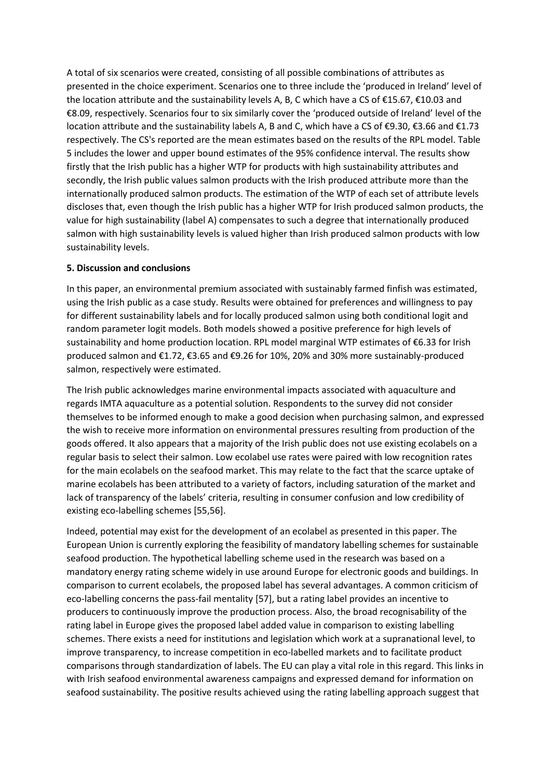A total of six scenarios were created, consisting of all possible combinations of attributes as presented in the choice experiment. Scenarios one to three include the 'produced in Ireland' level of the location attribute and the sustainability levels A, B, C which have a CS of €15.67, €10.03 and €8.09, respectively. Scenarios four to six similarly cover the 'produced outside of Ireland' level of the location attribute and the sustainability labels A, B and C, which have a CS of €9.30, €3.66 and €1.73 respectively. The CS's reported are the mean estimates based on the results of the RPL model. Table 5 includes the lower and upper bound estimates of the 95% confidence interval. The results show firstly that the Irish public has a higher WTP for products with high sustainability attributes and secondly, the Irish public values salmon products with the Irish produced attribute more than the internationally produced salmon products. The estimation of the WTP of each set of attribute levels discloses that, even though the Irish public has a higher WTP for Irish produced salmon products, the value for high sustainability (label A) compensates to such a degree that internationally produced salmon with high sustainability levels is valued higher than Irish produced salmon products with low sustainability levels.

### **5. Discussion and conclusions**

In this paper, an environmental premium associated with sustainably farmed finfish was estimated, using the Irish public as a case study. Results were obtained for preferences and willingness to pay for different sustainability labels and for locally produced salmon using both conditional logit and random parameter logit models. Both models showed a positive preference for high levels of sustainability and home production location. RPL model marginal WTP estimates of €6.33 for Irish produced salmon and €1.72, €3.65 and €9.26 for 10%, 20% and 30% more sustainably-produced salmon, respectively were estimated.

The Irish public acknowledges marine environmental impacts associated with aquaculture and regards IMTA aquaculture as a potential solution. Respondents to the survey did not consider themselves to be informed enough to make a good decision when purchasing salmon, and expressed the wish to receive more information on environmental pressures resulting from production of the goods offered. It also appears that a majority of the Irish public does not use existing ecolabels on a regular basis to select their salmon. Low ecolabel use rates were paired with low recognition rates for the main ecolabels on the seafood market. This may relate to the fact that the scarce uptake of marine ecolabels has been attributed to a variety of factors, including saturation of the market and lack of transparency of the labels' criteria, resulting in consumer confusion and low credibility of existing eco-labelling schemes [55,56].

Indeed, potential may exist for the development of an ecolabel as presented in this paper. The European Union is currently exploring the feasibility of mandatory labelling schemes for sustainable seafood production. The hypothetical labelling scheme used in the research was based on a mandatory energy rating scheme widely in use around Europe for electronic goods and buildings. In comparison to current ecolabels, the proposed label has several advantages. A common criticism of eco-labelling concerns the pass-fail mentality [57], but a rating label provides an incentive to producers to continuously improve the production process. Also, the broad recognisability of the rating label in Europe gives the proposed label added value in comparison to existing labelling schemes. There exists a need for institutions and legislation which work at a supranational level, to improve transparency, to increase competition in eco-labelled markets and to facilitate product comparisons through standardization of labels. The EU can play a vital role in this regard. This links in with Irish seafood environmental awareness campaigns and expressed demand for information on seafood sustainability. The positive results achieved using the rating labelling approach suggest that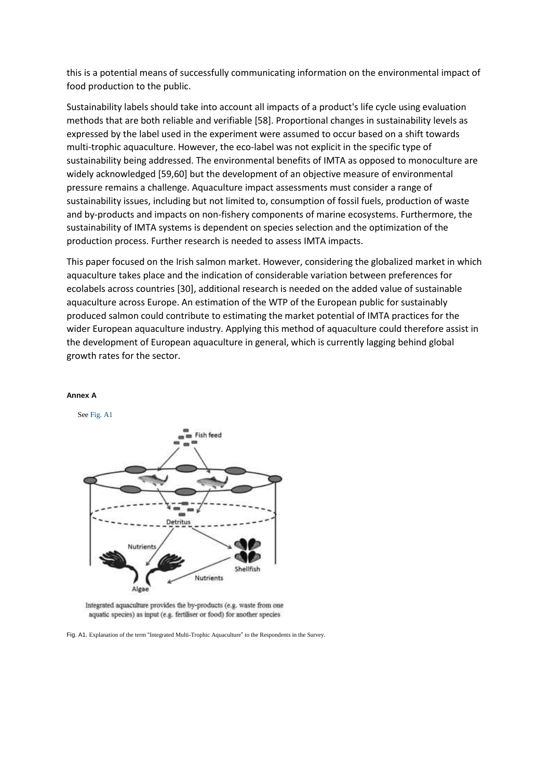this is a potential means of successfully communicating information on the environmental impact of food production to the public.

Sustainability labels should take into account all impacts of a product's life cycle using evaluation methods that are both reliable and verifiable [58]. Proportional changes in sustainability levels as expressed by the label used in the experiment were assumed to occur based on a shift towards multi-trophic aquaculture. However, the eco-label was not explicit in the specific type of sustainability being addressed. The environmental benefits of IMTA as opposed to monoculture are widely acknowledged [59,60] but the development of an objective measure of environmental pressure remains a challenge. Aquaculture impact assessments must consider a range of sustainability issues, including but not limited to, consumption of fossil fuels, production of waste and by-products and impacts on non-fishery components of marine ecosystems. Furthermore, the sustainability of IMTA systems is dependent on species selection and the optimization of the production process. Further research is needed to assess IMTA impacts.

This paper focused on the Irish salmon market. However, considering the globalized market in which aquaculture takes place and the indication of considerable variation between preferences for ecolabels across countries [30], additional research is needed on the added value of sustainable aquaculture across Europe. An estimation of the WTP of the European public for sustainably produced salmon could contribute to estimating the market potential of IMTA practices for the wider European aquaculture industry. Applying this method of aquaculture could therefore assist in the development of European aquaculture in general, which is currently lagging behind global growth rates for the sector.



### **Annex A**

Integrated aquaculture provides the by-products (e.g. waste from one aquatic species) as input (e.g. fertiliser or food) for another species

Fig. A1. Explanation of the term "Integrated Multi-Trophic Aquaculture" to the Respondents in the Survey.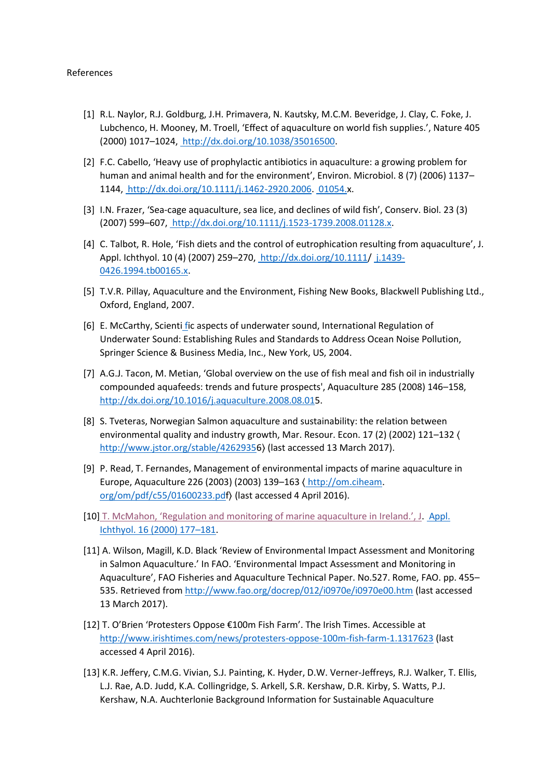- [1] R.L. Naylor, R.J. Goldburg, J.H. Primavera, N. Kautsky, M.C.M. Beveridge, J. Clay, C. Foke, J. Lubchenco, H. Mooney, M. Troell, 'Effect of aquaculture on world fish supplies.', Nature 405 (2000) 1017–1024, [http://dx.doi.org/10.1038/35016500.](http://dx.doi.org/10.1038/35016500)
- [2] F.C. Cabello, 'Heavy use of prophylactic antibiotics in aquaculture: a growing problem for human and animal health and for the environment', Environ. Microbiol. 8 (7) (2006) 1137– 1144[, http://dx.doi.org/10.1111/j.1462-2920.2006. 01054.x](http://dx.doi.org/10.1111/j.1462-2920.2006.01054.x).
- [3] I.N. Frazer, 'Sea-cage aquaculture, sea lice, and declines of wild fish', Conserv. Biol. 23 (3) (2007) 599–607[, http://dx.doi.org/10.1111/j.1523-1739.2008.01128.x.](http://dx.doi.org/10.1111/j.1523-1739.2008.01128.x)
- [4] C. Talbot, R. Hole, 'Fish diets and the control of eutrophication resulting from aquaculture', J. Appl. Ichthyol. 10 (4) (2007) 259-270, [http://dx.doi.org/10.1111/ j.1439-](http://dx.doi.org/10.1111/j.1439-0426.1994.tb00165.x) [0426.1994.tb00165.x.](http://dx.doi.org/10.1111/j.1439-0426.1994.tb00165.x)
- [5] T.V.R. Pillay, Aquaculture and the Environment, Fishing New Books, Blackwell Publishing Ltd., Oxford, England, 2007.
- [6] E. McCarthy, Scienti [fi](http://refhub.elsevier.com/S0308-597X(17)30195-1/sbref6)c aspects of underwater sound, International Regulation of Underwater Sound: Establishing Rules and Standards to Address Ocean Noise Pollution, Springer Science & Business Media, Inc., New York, US, 2004.
- [7] A.G.J. Tacon, M. Metian, 'Global overview on the use of fish meal and fish oil in industrially compounded aquafeeds: trends and future prospects', Aquaculture 285 (2008) 146–158, <http://dx.doi.org/10.1016/j.aquaculture.2008.08.015>.
- [8] S. Tveteras, Norwegian Salmon aquaculture and sustainability: the relation between environmental quality and industry growth, Mar. Resour. Econ. 17 (2) (2002) 121–132 [〈](http://www.jstor.org/stable/42629356) <http://www.jstor.org/stable/42629356>〉 (last accessed 13 March 2017).
- [9] P. Read, T. Fernandes, Management of environmental impacts of marine aquaculture in Europe, Aquaculture 226 (2003) (2003) 139–163 〈 [http://om.ciheam.](http://om.ciheam.org/om/pdf/c55/01600233.pdf)  [org/om/pdf/c55/01600233.pdf](http://om.ciheam.org/om/pdf/c55/01600233.pdf)〉 (last accessed 4 April 2016).
- [10] [T. McMahon, 'Regulation and monitoring of marine aquaculture in Ireland.', J](http://refhub.elsevier.com/S0308-597X(17)30195-1/sbref10). [Appl.](http://refhub.elsevier.com/S0308-597X(17)30195-1/sbref10)  [Ichthyol. 16 \(2000\) 177](http://refhub.elsevier.com/S0308-597X(17)30195-1/sbref10)–181.
- [11] A. Wilson, Magill, K.D. Black 'Review of Environmental Impact Assessment and Monitoring in Salmon Aquaculture.' In FAO. 'Environmental Impact Assessment and Monitoring in Aquaculture', FAO Fisheries and Aquaculture Technical Paper. No.527. Rome, FAO. pp. 455– 535. Retrieved from<http://www.fao.org/docrep/012/i0970e/i0970e00.htm> (last accessed 13 March 2017).
- [12] T. O'Brien 'Protesters Oppose €100m Fish Farm'. The Irish Times. Accessible at <http://www.irishtimes.com/news/protesters-oppose-100m-fish-farm-1.1317623> (last accessed 4 April 2016).
- [13] K.R. Jeffery, C.M.G. Vivian, S.J. Painting, K. Hyder, D.W. Verner-Jeffreys, R.J. Walker, T. Ellis, L.J. Rae, A.D. Judd, K.A. Collingridge, S. Arkell, S.R. Kershaw, D.R. Kirby, S. Watts, P.J. Kershaw, N.A. Auchterlonie Background Information for Sustainable Aquaculture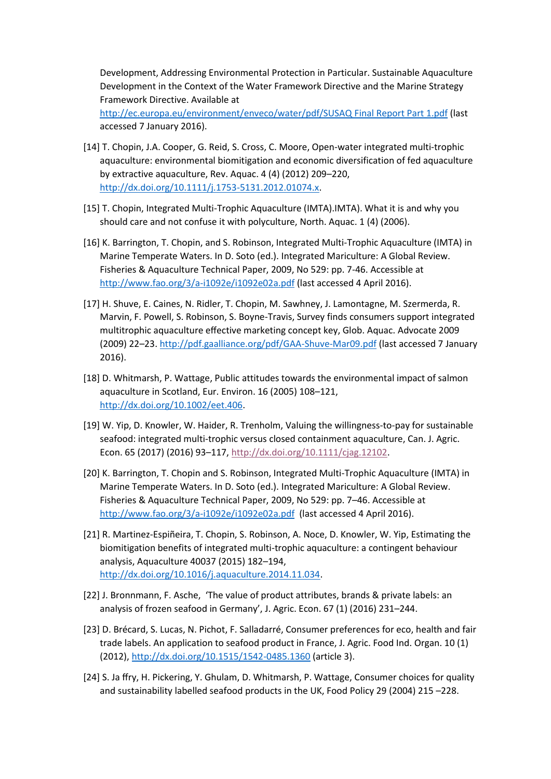Development, Addressing Environmental Protection in Particular. Sustainable Aquaculture Development in the Context of the Water Framework Directive and the Marine Strategy Framework Directive. Available at

[http://ec.europa.eu/environment/enveco/water/pdf/SUSAQ Final Report Part 1.pdf](http://ec.europa.eu/environment/enveco/water/pdf/SUSAQ%20Final%20Report%20Part%201.pdf) (last accessed 7 January 2016).

- [14] T. Chopin, J.A. Cooper, G. Reid, S. Cross, C. Moore, Open-water integrated multi-trophic aquaculture: environmental biomitigation and economic diversification of fed aquaculture by extractive aquaculture, Rev. Aquac. 4 (4) (2012) 209–220, [http://dx.doi.org/10.1111/j.1753-5131.2012.01074.x.](http://dx.doi.org/10.1111/j.1753-5131.2012.01074.x)
- [15] T. Chopin, Integrated Multi-Trophic Aquaculture (IMTA).IMTA). What it is and why you should care and not confuse it with polyculture, North. Aquac. 1 (4) (2006).
- [16] K. Barrington, T. Chopin, and S. Robinson, Integrated Multi-Trophic Aquaculture (IMTA) in Marine Temperate Waters. In D. Soto (ed.). Integrated Mariculture: A Global Review. Fisheries & Aquaculture Technical Paper, 2009, No 529: pp. 7-46. Accessible at <http://www.fao.org/3/a-i1092e/i1092e02a.pdf> (last accessed 4 April 2016).
- [17] H. Shuve, E. Caines, N. Ridler, T. Chopin, M. Sawhney, J. Lamontagne, M. Szermerda, R. Marvin, F. Powell, S. Robinson, S. Boyne-Travis, Survey finds consumers support integrated multitrophic aquaculture effective marketing concept key, Glob. Aquac. Advocate 2009 (2009) 22–23. <http://pdf.gaalliance.org/pdf/GAA-Shuve-Mar09.pdf> (last accessed 7 January 2016).
- [18] D. Whitmarsh, P. Wattage, Public attitudes towards the environmental impact of salmon aquaculture in Scotland, Eur. Environ. 16 (2005) 108–121, [http://dx.doi.org/10.1002/eet.406.](http://dx.doi.org/10.1002/eet.406)
- [19] W. Yip, D. Knowler, W. Haider, R. Trenholm, Valuing the willingness-to-pay for sustainable seafood: integrated multi-trophic versus closed containment aquaculture, Can. J. Agric. Econ. 65 (2017) (2016) 93–117, [http://dx.doi.org/10.1111/cjag.12102.](http://dx.doi.org/10.1111/cjag.12102)
- [20] K. Barrington, T. Chopin and S. Robinson, Integrated Multi-Trophic Aquaculture (IMTA) in Marine Temperate Waters. In D. Soto (ed.). Integrated Mariculture: A Global Review. Fisheries & Aquaculture Technical Paper, 2009, No 529: pp. 7–46. Accessible at <http://www.fao.org/3/a-i1092e/i1092e02a.pdf> (last accessed 4 April 2016).
- [21] R. Martinez-Espiñeira, T. Chopin, S. Robinson, A. Noce, D. Knowler, W. Yip, Estimating the biomitigation benefits of integrated multi-trophic aquaculture: a contingent behaviour analysis, Aquaculture 40037 (2015) 182–194, [http://dx.doi.org/10.1016/j.aquaculture.2014.11.034.](http://dx.doi.org/10.1016/j.aquaculture.2014.11.034)
- [22] J. Bronnmann, F. Asche, 'The value of product attributes, brands & private labels: an analysis of frozen seafood in Germany', J. Agric. Econ. 67 (1) (2016) 231–244.
- [23] D. Brécard, S. Lucas, N. Pichot, F. Salladarré, Consumer preferences for eco, health and fair trade labels. An application to seafood product in France, J. Agric. Food Ind. Organ. 10 (1) (2012),<http://dx.doi.org/10.1515/1542-0485.1360> (article 3).
- [24] S. Ja ffry, H. Pickering, Y. Ghulam, D. Whitmarsh, P. Wattage, Consumer choices for quality and sustainability labelled seafood products in the UK, Food Policy 29 (2004) 215 –228.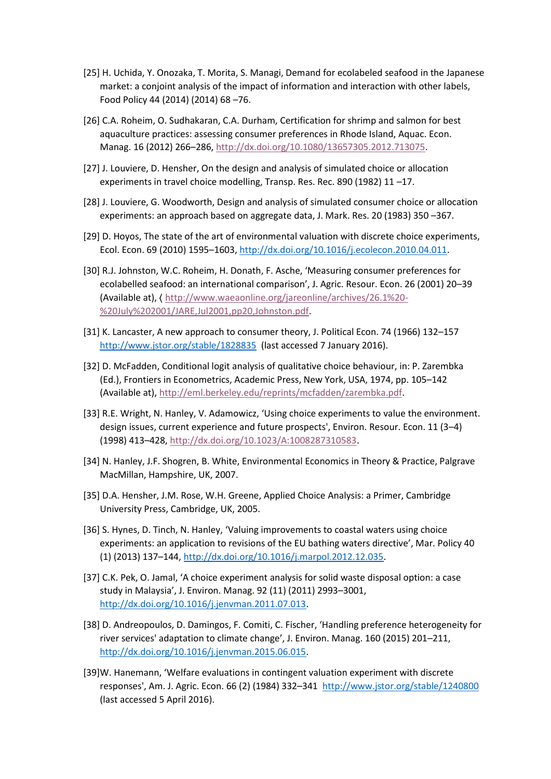- [25] H. Uchida, Y. Onozaka, T. Morita, S. Managi, Demand for ecolabeled seafood in the Japanese market: a conjoint analysis of the impact of information and interaction with other labels, Food Policy 44 (2014) (2014) 68 –76.
- [26] C.A. Roheim, O. Sudhakaran, C.A. Durham, Certification for shrimp and salmon for best aquaculture practices: assessing consumer preferences in Rhode Island, Aquac. Econ. Manag. 16 (2012) 266–286[, http://dx.doi.org/10.1080/13657305.2012.713075.](http://dx.doi.org/10.1080/13657305.2012.713075)
- [27] J. Louviere, D. Hensher, On the design and analysis of simulated choice or allocation experiments in travel choice modelling, Transp. Res. Rec. 890 (1982) 11 –17.
- [28] J. Louviere, G. Woodworth, Design and analysis of simulated consumer choice or allocation experiments: an approach based on aggregate data, J. Mark. Res. 20 (1983) 350 –367.
- [29] D. Hoyos, The state of the art of environmental valuation with discrete choice experiments, Ecol. Econ. 69 (2010) 1595–1603, [http://dx.doi.org/10.1016/j.ecolecon.2010.04.011.](http://dx.doi.org/10.1016/j.ecolecon.2010.04.011)
- [30] R.J. Johnston, W.C. Roheim, H. Donath, F. Asche, 'Measuring consumer preferences for ecolabelled seafood: an international comparison', J. Agric. Resour. Econ. 26 (2001) 20–39 (Available at), 〈 [http://www.waeaonline.org/jareonline/archives/26.1%20-](http://www.waeaonline.org/jareonline/archives/26.1%20-%20July%202001/JARE,Jul2001,pp20,Johnston.pdf) [%20July%202001/JARE,Jul2001,pp20,Johnston.pdf.](http://www.waeaonline.org/jareonline/archives/26.1%20-%20July%202001/JARE,Jul2001,pp20,Johnston.pdf)
- [31] K. Lancaster, A new approach to consumer theory, J. Political Econ. 74 (1966) 132–157 <http://www.jstor.org/stable/1828835> (last accessed 7 January 2016).
- [32] D. McFadden, Conditional logit analysis of qualitative choice behaviour, in: P. Zarembka (Ed.), Frontiers in Econometrics, Academic Press, New York, USA, 1974, pp. 105–142 (Available at), [http://eml.berkeley.edu/reprints/mcfadden/zarembka.pdf.](http://eml.berkeley.edu/reprints/mcfadden/zarembka.pdf)
- [33] R.E. Wright, N. Hanley, V. Adamowicz, 'Using choice experiments to value the environment. design issues, current experience and future prospects', Environ. Resour. Econ. 11 (3–4) (1998) 413–428[, http://dx.doi.org/10.1023/A:1008287310583.](http://dx.doi.org/10.1023/A:1008287310583)
- [34] N. Hanley, J.F. Shogren, B. White, Environmental Economics in Theory & Practice, Palgrave MacMillan, Hampshire, UK, 2007.
- [35] D.A. Hensher, J.M. Rose, W.H. Greene, Applied Choice Analysis: a Primer, Cambridge University Press, Cambridge, UK, 2005.
- [36] S. Hynes, D. Tinch, N. Hanley, 'Valuing improvements to coastal waters using choice experiments: an application to revisions of the EU bathing waters directive', Mar. Policy 40 (1) (2013) 137–144, [http://dx.doi.org/10.1016/j.marpol.2012.12.035.](http://dx.doi.org/10.1016/j.marpol.2012.12.035)
- [37] C.K. Pek, O. Jamal, 'A choice experiment analysis for solid waste disposal option: a case study in Malaysia', J. Environ. Manag. 92 (11) (2011) 2993–3001, [http://dx.doi.org/10.1016/j.jenvman.2011.07.013.](http://dx.doi.org/10.1016/j.jenvman.2011.07.013)
- [38] D. Andreopoulos, D. Damingos, F. Comiti, C. Fischer, 'Handling preference heterogeneity for river services' adaptation to climate change', J. Environ. Manag. 160 (2015) 201–211, [http://dx.doi.org/10.1016/j.jenvman.2015.06.015.](http://dx.doi.org/10.1016/j.jenvman.2015.06.015)
- [39]W. Hanemann, 'Welfare evaluations in contingent valuation experiment with discrete responses', Am. J. Agric. Econ. 66 (2) (1984) 332–341 <http://www.jstor.org/stable/1240800> (last accessed 5 April 2016).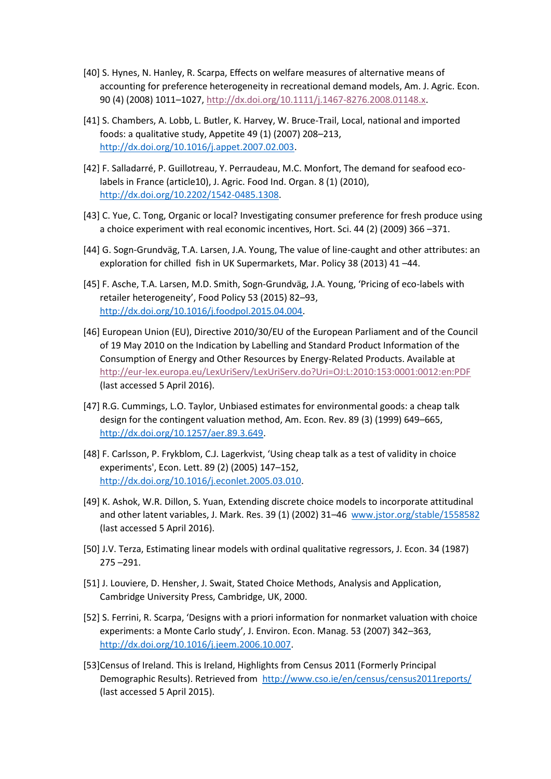- [40] S. Hynes, N. Hanley, R. Scarpa, Effects on welfare measures of alternative means of accounting for preference heterogeneity in recreational demand models, Am. J. Agric. Econ. 90 (4) (2008) 1011–1027, [http://dx.doi.org/10.1111/j.1467-8276.2008.01148.x.](http://dx.doi.org/10.1111/j.1467-8276.2008.01148.x)
- [41] S. Chambers, A. Lobb, L. Butler, K. Harvey, W. Bruce-Trail, Local, national and imported foods: a qualitative study, Appetite 49 (1) (2007) 208–213, [http://dx.doi.org/10.1016/j.appet.2007.02.003.](http://dx.doi.org/10.1016/j.appet.2007.02.003)
- [42] F. Salladarré, P. Guillotreau, Y. Perraudeau, M.C. Monfort, The demand for seafood ecolabels in France (article10), J. Agric. Food Ind. Organ. 8 (1) (2010), [http://dx.doi.org/10.2202/1542-0485.1308.](http://dx.doi.org/10.2202/1542-0485.1308)
- [43] C. Yue, C. Tong, Organic or local? Investigating consumer preference for fresh produce using a choice experiment with real economic incentives, Hort. Sci. 44 (2) (2009) 366 –371.
- [44] G. Sogn-Grundväg, T.A. Larsen, J.A. Young, The value of line-caught and other attributes: an exploration for chilled fish in UK Supermarkets, Mar. Policy 38 (2013) 41 –44.
- [45] F. Asche, T.A. Larsen, M.D. Smith, Sogn-Grundväg, J.A. Young, 'Pricing of eco-labels with retailer heterogeneity', Food Policy 53 (2015) 82–93, [http://dx.doi.org/10.1016/j.foodpol.2015.04.004.](http://dx.doi.org/10.1016/j.foodpol.2015.04.004)
- [46] European Union (EU), Directive 2010/30/EU of the European Parliament and of the Council of 19 May 2010 on the Indication by Labelling and Standard Product Information of the Consumption of Energy and Other Resources by Energy-Related Products. Available at <http://eur-lex.europa.eu/LexUriServ/LexUriServ.do?Uri=OJ:L:2010:153:0001:0012:en:PDF> (last accessed 5 April 2016).
- [47] R.G. Cummings, L.O. Taylor, Unbiased estimates for environmental goods: a cheap talk design for the contingent valuation method, Am. Econ. Rev. 89 (3) (1999) 649–665, [http://dx.doi.org/10.1257/aer.89.3.649.](http://dx.doi.org/10.1257/aer.89.3.649)
- [48] F. Carlsson, P. Frykblom, C.J. Lagerkvist, 'Using cheap talk as a test of validity in choice experiments', Econ. Lett. 89 (2) (2005) 147–152, [http://dx.doi.org/10.1016/j.econlet.2005.03.010.](http://dx.doi.org/10.1016/j.econlet.2005.03.010)
- [49] K. Ashok, W.R. Dillon, S. Yuan, Extending discrete choice models to incorporate attitudinal and other latent variables, J. Mark. Res. 39 (1) (2002) 31–46 [www.jstor.org/stable/1558582](http://www.jstor.org/stable/1558582) (last accessed 5 April 2016).
- [50] J.V. Terza, Estimating linear models with ordinal qualitative regressors, J. Econ. 34 (1987) 275 –291.
- [51] J. Louviere, D. Hensher, J. Swait, Stated Choice Methods, Analysis and Application, Cambridge University Press, Cambridge, UK, 2000.
- [52] S. Ferrini, R. Scarpa, 'Designs with a priori information for nonmarket valuation with choice experiments: a Monte Carlo study', J. Environ. Econ. Manag. 53 (2007) 342–363, [http://dx.doi.org/10.1016/j.jeem.2006.10.007.](http://dx.doi.org/10.1016/j.jeem.2006.10.007)
- [53]Census of Ireland. This is Ireland, Highlights from Census 2011 (Formerly Principal Demographic Results). Retrieved from <http://www.cso.ie/en/census/census2011reports/> (last accessed 5 April 2015).